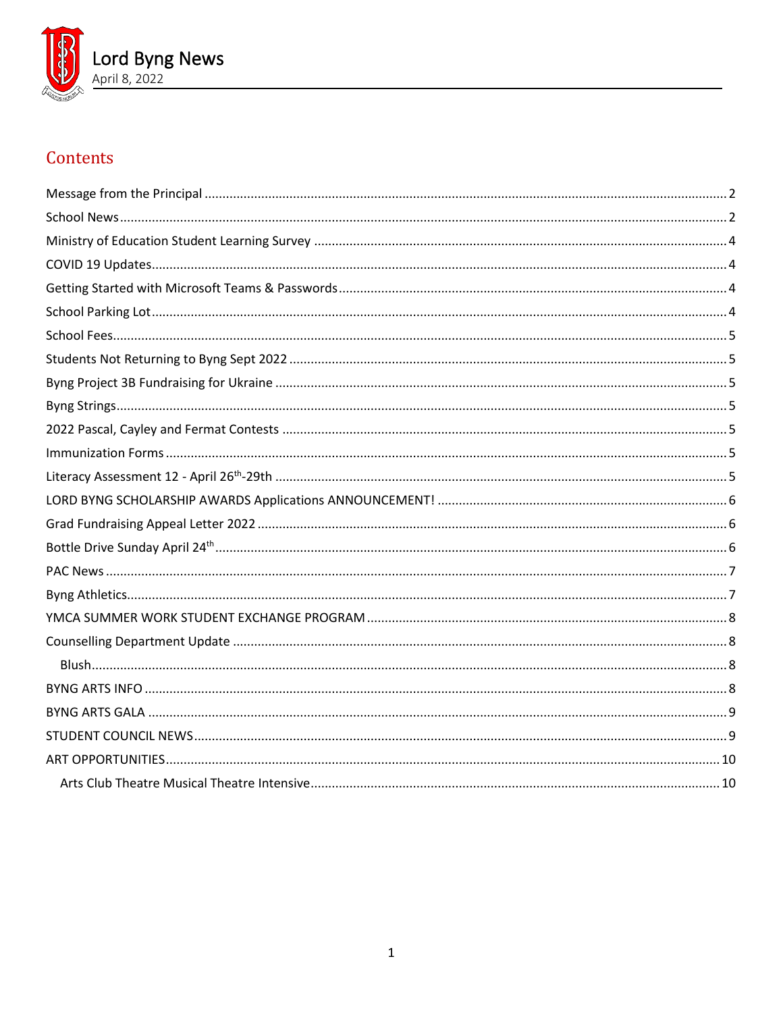

# Contents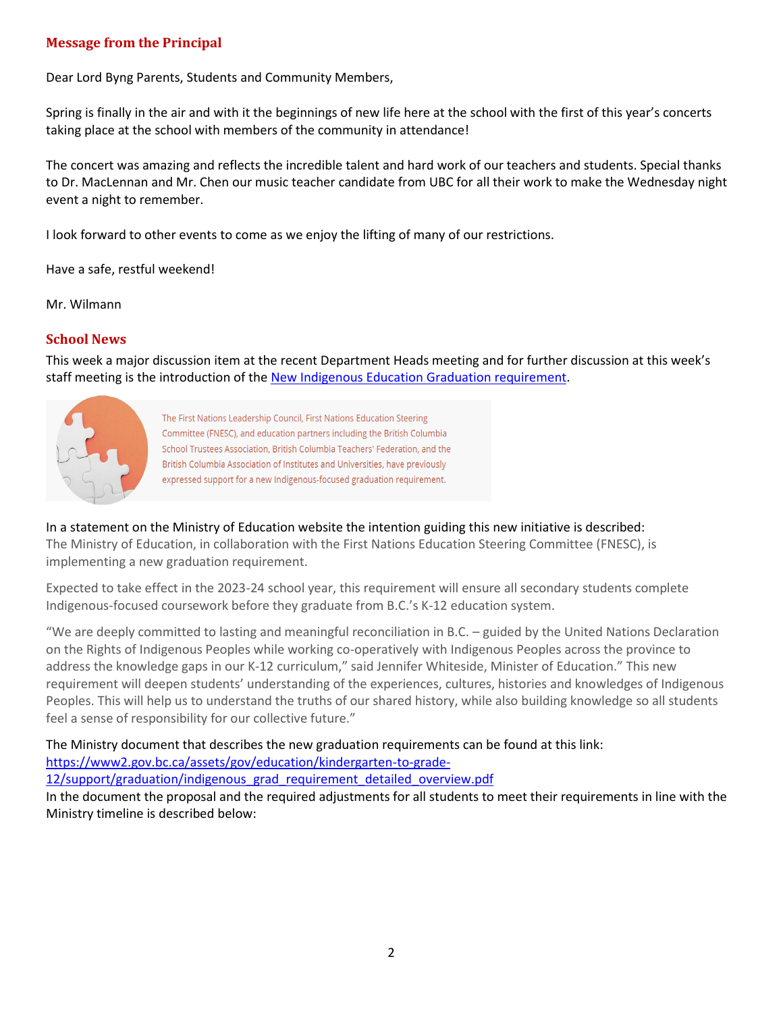# <span id="page-1-0"></span>**Message from the Principal**

Dear Lord Byng Parents, Students and Community Members,

Spring is finally in the air and with it the beginnings of new life here at the school with the first of this year's concerts taking place at the school with members of the community in attendance!

The concert was amazing and reflects the incredible talent and hard work of our teachers and students. Special thanks to Dr. MacLennan and Mr. Chen our music teacher candidate from UBC for all their work to make the Wednesday night event a night to remember.

I look forward to other events to come as we enjoy the lifting of many of our restrictions.

Have a safe, restful weekend!

Mr. Wilmann

#### <span id="page-1-1"></span>**School News**

This week a major discussion item at the recent Department Heads meeting and for further discussion at this week's staff meeting is the introduction of the [New Indigenous Education Graduation requirement.](https://news.gov.bc.ca/releases/2022EDUC0007-000297)



The First Nations Leadership Council, First Nations Education Steering Committee (FNESC), and education partners including the British Columbia School Trustees Association, British Columbia Teachers' Federation, and the British Columbia Association of Institutes and Universities, have previously expressed support for a new Indigenous-focused graduation requirement.

In a statement on the Ministry of Education website the intention guiding this new initiative is described:

The Ministry of Education, in collaboration with the First Nations Education Steering Committee (FNESC), is implementing a new graduation requirement.

Expected to take effect in the 2023-24 school year, this requirement will ensure all secondary students complete Indigenous-focused coursework before they graduate from B.C.'s K-12 education system.

"We are deeply committed to lasting and meaningful reconciliation in B.C. – guided by the United Nations Declaration on the Rights of Indigenous Peoples while working co-operatively with Indigenous Peoples across the province to address the knowledge gaps in our K-12 curriculum," said Jennifer Whiteside, Minister of Education." This new requirement will deepen students' understanding of the experiences, cultures, histories and knowledges of Indigenous Peoples. This will help us to understand the truths of our shared history, while also building knowledge so all students feel a sense of responsibility for our collective future."

The Ministry document that describes the new graduation requirements can be found at this link: [https://www2.gov.bc.ca/assets/gov/education/kindergarten-to-grade-](https://www2.gov.bc.ca/assets/gov/education/kindergarten-to-grade-12/support/graduation/indigenous_grad_requirement_detailed_overview.pdf)[12/support/graduation/indigenous\\_grad\\_requirement\\_detailed\\_overview.pdf](https://www2.gov.bc.ca/assets/gov/education/kindergarten-to-grade-12/support/graduation/indigenous_grad_requirement_detailed_overview.pdf)

In the document the proposal and the required adjustments for all students to meet their requirements in line with the Ministry timeline is described below: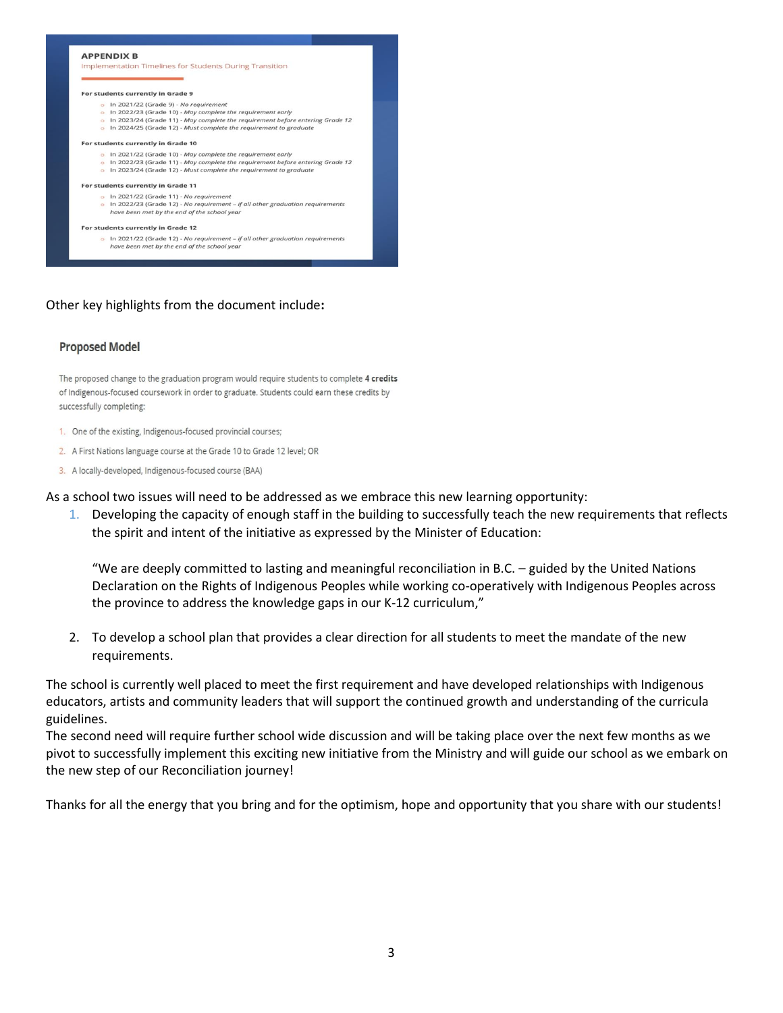

## Other key highlights from the document include**:**

#### **Proposed Model**

The proposed change to the graduation program would require students to complete 4 credits of Indigenous-focused coursework in order to graduate. Students could earn these credits by successfully completing:

- 1. One of the existing, Indigenous-focused provincial courses;
- 2. A First Nations language course at the Grade 10 to Grade 12 level; OR
- 3. A locally-developed, Indigenous-focused course (BAA)

As a school two issues will need to be addressed as we embrace this new learning opportunity:

1. Developing the capacity of enough staff in the building to successfully teach the new requirements that reflects the spirit and intent of the initiative as expressed by the Minister of Education:

"We are deeply committed to lasting and meaningful reconciliation in B.C. – guided by the United Nations Declaration on the Rights of Indigenous Peoples while working co-operatively with Indigenous Peoples across the province to address the knowledge gaps in our K-12 curriculum,"

2. To develop a school plan that provides a clear direction for all students to meet the mandate of the new requirements.

The school is currently well placed to meet the first requirement and have developed relationships with Indigenous educators, artists and community leaders that will support the continued growth and understanding of the curricula guidelines.

The second need will require further school wide discussion and will be taking place over the next few months as we pivot to successfully implement this exciting new initiative from the Ministry and will guide our school as we embark on the new step of our Reconciliation journey!

<span id="page-2-0"></span>Thanks for all the energy that you bring and for the optimism, hope and opportunity that you share with our students!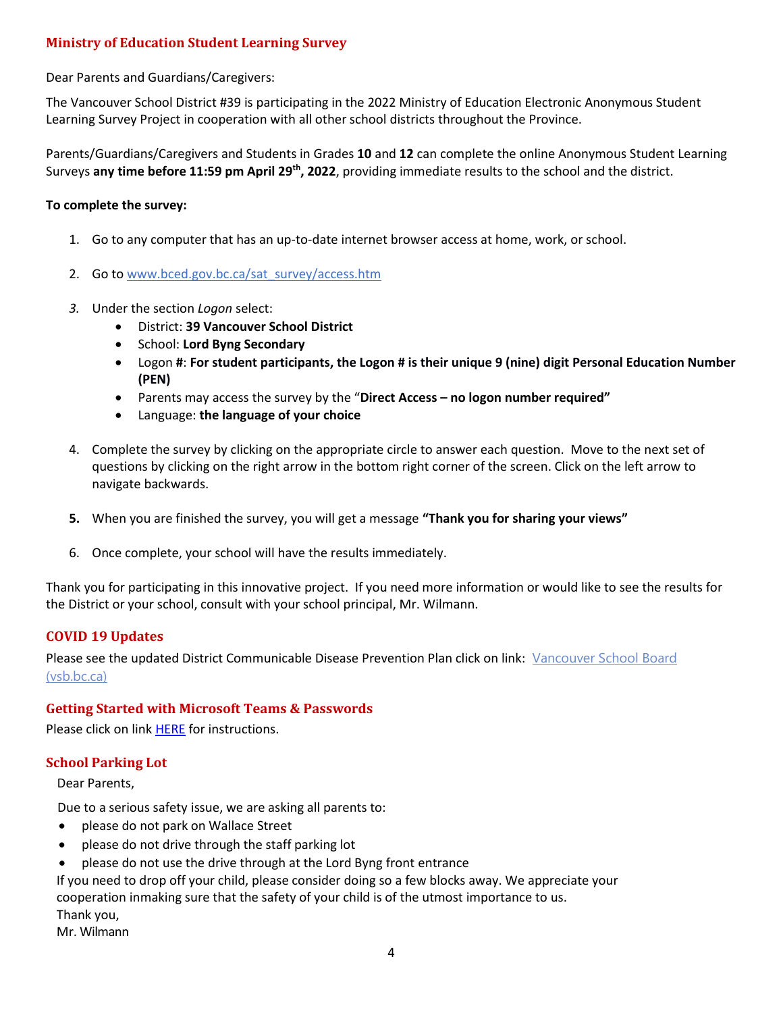# **Ministry of Education Student Learning Survey**

Dear Parents and Guardians/Caregivers:

The Vancouver School District #39 is participating in the 2022 Ministry of Education Electronic Anonymous Student Learning Survey Project in cooperation with all other school districts throughout the Province.

Parents/Guardians/Caregivers and Students in Grades **10** and **12** can complete the online Anonymous Student Learning Surveys **any time before 11:59 pm April 29th, 2022**, providing immediate results to the school and the district.

## **To complete the survey:**

- 1. Go to any computer that has an up-to-date internet browser access at home, work, or school.
- 2. Go to www.bced.gov.bc.ca/sat\_survey/access.htm
- *3.* Under the section *Logon* select:
	- District: **39 Vancouver School District**
	- School: **Lord Byng Secondary**
	- Logon **#**: **For student participants, the Logon # is their unique 9 (nine) digit Personal Education Number (PEN)**
	- Parents may access the survey by the "**Direct Access – no logon number required"**
	- Language: **the language of your choice**
- 4. Complete the survey by clicking on the appropriate circle to answer each question. Move to the next set of questions by clicking on the right arrow in the bottom right corner of the screen. Click on the left arrow to navigate backwards.
- **5.** When you are finished the survey, you will get a message **"Thank you for sharing your views"**
- 6. Once complete, your school will have the results immediately.

Thank you for participating in this innovative project. If you need more information or would like to see the results for the District or your school, consult with your school principal, Mr. Wilmann.

## <span id="page-3-0"></span>**COVID 19 Updates**

Please see the updated District Communicable Disease Prevention Plan click on link: [Vancouver School Board](https://www.vsb.bc.ca/COVID-19/updates/Pages/default.aspx)  [\(vsb.bc.ca\)](https://www.vsb.bc.ca/COVID-19/updates/Pages/default.aspx)

## <span id="page-3-1"></span>**Getting Started with Microsoft Teams & Passwords**

Please click on link [HERE](https://www.vsb.bc.ca/schools/lord-byng/About-Us/Publications/Documents/Getting%20Started%20with%20Microsoft%20Teams%20Jan%207%202022.pdf) for instructions.

## <span id="page-3-2"></span>**School Parking Lot**

Dear Parents,

Due to a serious safety issue, we are asking all parents to:

- please do not park on Wallace Street
- please do not drive through the staff parking lot
- please do not use the drive through at the Lord Byng front entrance

[If you need to drop off y](https://vsb.schoolcashonline.com/)our child, please consider doing so a few blocks away. We appreciate your cooperation inmaking sure that the safety of your child is of the utmost [importance](https://www.vsb.bc.ca/Student_Support/General_Resources/school-fees/Pages/OnlinePayment.aspx) to us. [Thank you,](https://www.vsb.bc.ca/_layouts/vsbwww/arch/default/files/KEV-Translations/Chinese.pdf)

Mr. Wilmann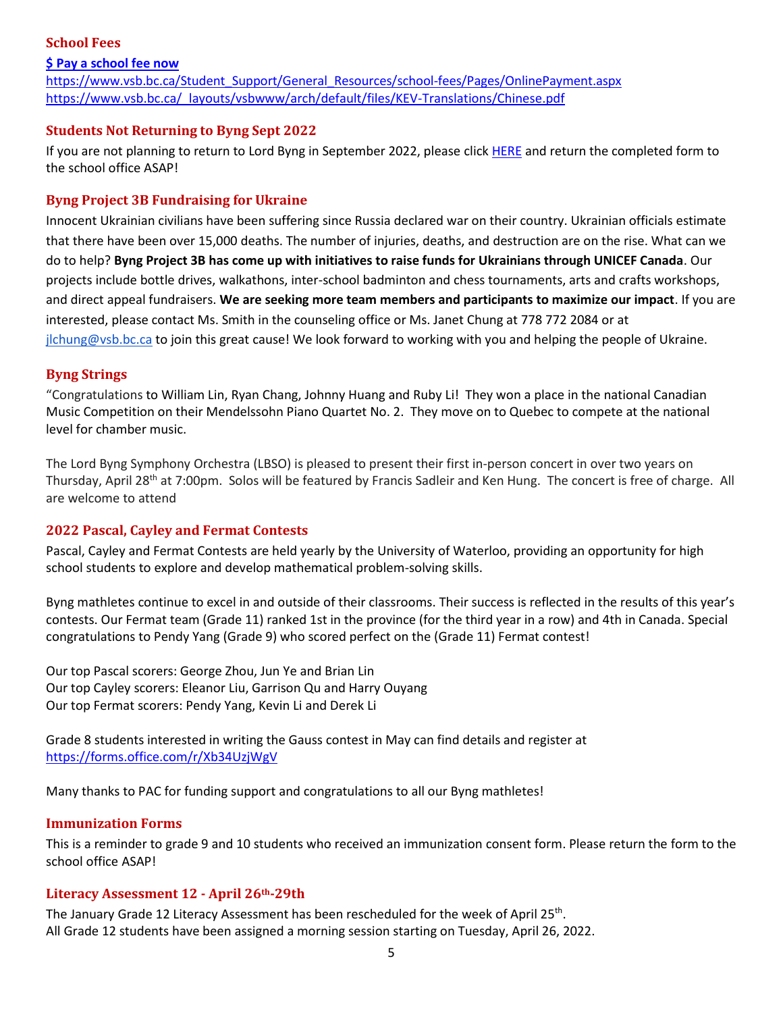## <span id="page-4-0"></span>**School Fees**

# **\$ [Pay a school fee now](https://vsb.schoolcashonline.com/)** https:/[/www.vsb.bc.ca/Student\\_Support/General\\_Resources/school-fees/Pages/OnlinePayment.aspx](http://www.vsb.bc.ca/Student_Support/General_Resources/school-fees/Pages/OnlinePayment.aspx) https:/[/www.vsb.bc.ca/\\_layouts/vsbwww/arch/default/files/KEV-Translations/Chinese.pdf](http://www.vsb.bc.ca/_layouts/vsbwww/arch/default/files/KEV-Translations/Chinese.pdf)

# <span id="page-4-1"></span>**Students Not Returning to Byng Sept 2022**

If you are not planning to return to Lord Byng in September 2022, please clic[k HERE](https://www.vsb.bc.ca/schools/lord-byng/About-Us/Publications/Documents/Not%20Returning%20To%20Byng%202022-2023.pdf) and return the completed form to the school office ASAP!

# <span id="page-4-2"></span>**Byng Project 3B Fundraising for Ukraine**

Innocent Ukrainian civilians have been suffering since Russia declared war on their country. Ukrainian officials estimate that there have been over 15,000 deaths. The number of injuries, deaths, and destruction are on the rise. What can we do to help? **Byng Project 3B has come up with initiatives to raise funds for Ukrainians through UNICEF Canada**. Our projects include bottle drives, walkathons, inter-school badminton and chess tournaments, arts and crafts workshops, and direct appeal fundraisers. **We are seeking more team members and participants to maximize our impact**. If you are interested, please contact Ms. Smith in the counseling office or Ms. Janet Chung at 778 772 2084 or at [jlchung@vsb.bc.ca](mailto:jlchung@vsb.bc.ca) to join this great cause! We look forward to working with you and helping the people of Ukraine.

## <span id="page-4-3"></span>**Byng Strings**

"Congratulations to William Lin, Ryan Chang, Johnny Huang and Ruby Li! They won a place in the national Canadian Music Competition on their Mendelssohn Piano Quartet No. 2. They move on to Quebec to compete at the national level for chamber music.

The Lord Byng Symphony Orchestra (LBSO) is pleased to present their first in-person concert in over two years on Thursday, April 28<sup>th</sup> at 7:00pm. Solos will be featured by Francis Sadleir and Ken Hung. The concert is free of charge. All are welcome to attend

## <span id="page-4-4"></span>**2022 Pascal, Cayley and Fermat Contests**

Pascal, Cayley and Fermat Contests are held yearly by the University of Waterloo, providing an opportunity for high school students to explore and develop mathematical problem-solving skills.

Byng mathletes continue to excel in and outside of their classrooms. Their success is reflected in the results of this year's contests. Our Fermat team (Grade 11) ranked 1st in the province (for the third year in a row) and 4th in Canada. Special congratulations to Pendy Yang (Grade 9) who scored perfect on the (Grade 11) Fermat contest!

Our top Pascal scorers: George Zhou, Jun Ye and Brian Lin Our top Cayley scorers: Eleanor Liu, Garrison Qu and Harry Ouyang Our top Fermat scorers: Pendy Yang, Kevin Li and Derek Li

Grade 8 students interested in writing the Gauss contest in May can find details and register at <https://forms.office.com/r/Xb34UzjWgV>

Many thanks to PAC for funding support and congratulations to all our Byng mathletes!

## <span id="page-4-5"></span>**Immunization Forms**

This is a reminder to grade 9 and 10 students who received an immunization consent form. Please return the form to the school office ASAP!

## <span id="page-4-6"></span>**Literacy Assessment 12 - April 26th-29th**

The January Grade 12 Literacy Assessment has been rescheduled for the week of April 25<sup>th</sup>. All Grade 12 students have been assigned a morning session starting on Tuesday, April 26, 2022.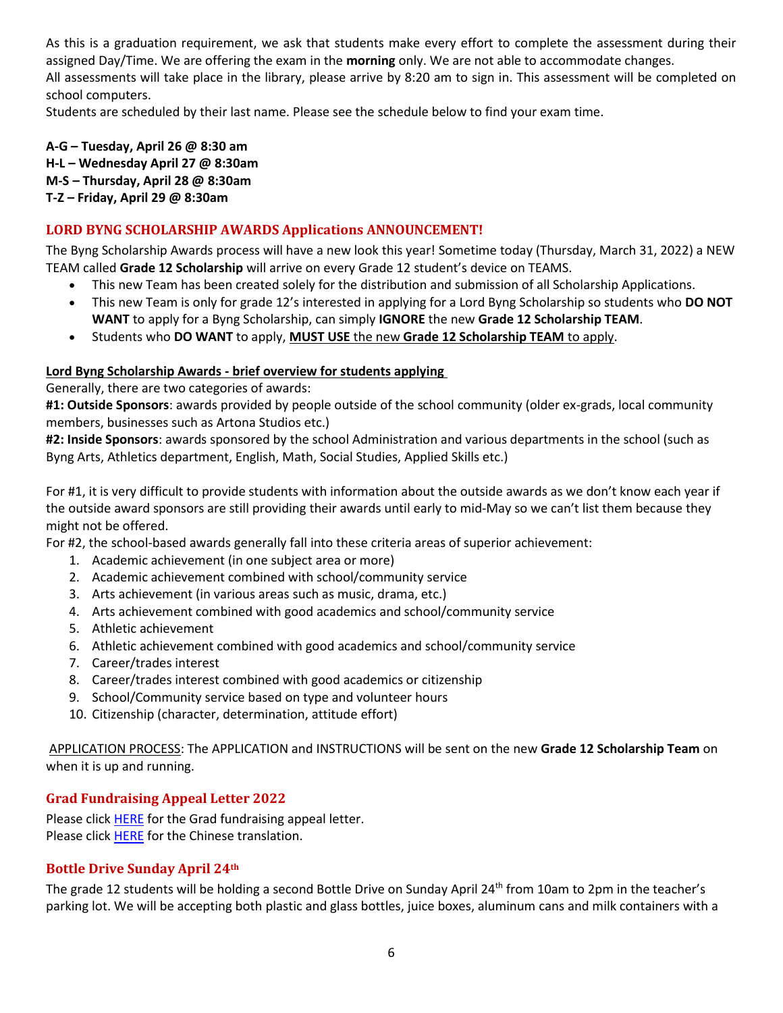As this is a graduation requirement, we ask that students make every effort to complete the assessment during their assigned Day/Time. We are offering the exam in the **morning** only. We are not able to accommodate changes. All assessments will take place in the library, please arrive by 8:20 am to sign in. This assessment will be completed on school computers.

Students are scheduled by their last name. Please see the schedule below to find your exam time.

**A-G – Tuesday, April 26 @ 8:30 am H-L – Wednesday April 27 @ 8:30am M-S – Thursday, April 28 @ 8:30am T-Z – Friday, April 29 @ 8:30am**

## <span id="page-5-0"></span>**LORD BYNG SCHOLARSHIP AWARDS Applications ANNOUNCEMENT!**

The Byng Scholarship Awards process will have a new look this year! Sometime today (Thursday, March 31, 2022) a NEW TEAM called **Grade 12 Scholarship** will arrive on every Grade 12 student's device on TEAMS.

- This new Team has been created solely for the distribution and submission of all Scholarship Applications.
- This new Team is only for grade 12's interested in applying for a Lord Byng Scholarship so students who **DO NOT WANT** to apply for a Byng Scholarship, can simply **IGNORE** the new **Grade 12 Scholarship TEAM**.
- Students who **DO WANT** to apply, **MUST USE** the new **Grade 12 Scholarship TEAM** to apply.

#### **Lord Byng Scholarship Awards - brief overview for students applying**

Generally, there are two categories of awards:

**#1: Outside Sponsors**: awards provided by people outside of the school community (older ex-grads, local community members, businesses such as Artona Studios etc.)

**#2: Inside Sponsors**: awards sponsored by the school Administration and various departments in the school (such as Byng Arts, Athletics department, English, Math, Social Studies, Applied Skills etc.)

For #1, it is very difficult to provide students with information about the outside awards as we don't know each year if the outside award sponsors are still providing their awards until early to mid-May so we can't list them because they might not be offered.

For #2, the school-based awards generally fall into these criteria areas of superior achievement:

- 1. Academic achievement (in one subject area or more)
- 2. Academic achievement combined with school/community service
- 3. Arts achievement (in various areas such as music, drama, etc.)
- 4. Arts achievement combined with good academics and school/community service
- 5. Athletic achievement
- 6. Athletic achievement combined with good academics and school/community service
- 7. Career/trades interest
- 8. Career/trades interest combined with good academics or citizenship
- 9. School/Community service based on type and volunteer hours
- 10. Citizenship (character, determination, attitude effort)

APPLICATION PROCESS: The APPLICATION and INSTRUCTIONS will be sent on the new **Grade 12 Scholarship Team** on when it is up and running.

## <span id="page-5-1"></span>**Grad Fundraising Appeal Letter 2022**

Please click [HERE](https://www.vsb.bc.ca/schools/lord-byng/Families/Grad%20Parent%20Page/Documents/sbfile/220120/Grad%20Fundraising%20Appeal.pdf) for the Grad fundraising appeal letter. Please click [HERE](https://www.vsb.bc.ca/schools/lord-byng/Families/Grad%20Parent%20Page/Documents/sbfile/220121/Chinese%20Grad%20Fundraising%20Appeal%202022_2.pdf) for the Chinese translation.

## <span id="page-5-2"></span>**Bottle Drive Sunday April 24th**

The grade 12 students will be holding a second Bottle Drive on Sunday April 24<sup>th</sup> from 10am to 2pm in the teacher's parking lot. We will be accepting both plastic and glass bottles, juice boxes, aluminum cans and milk containers with a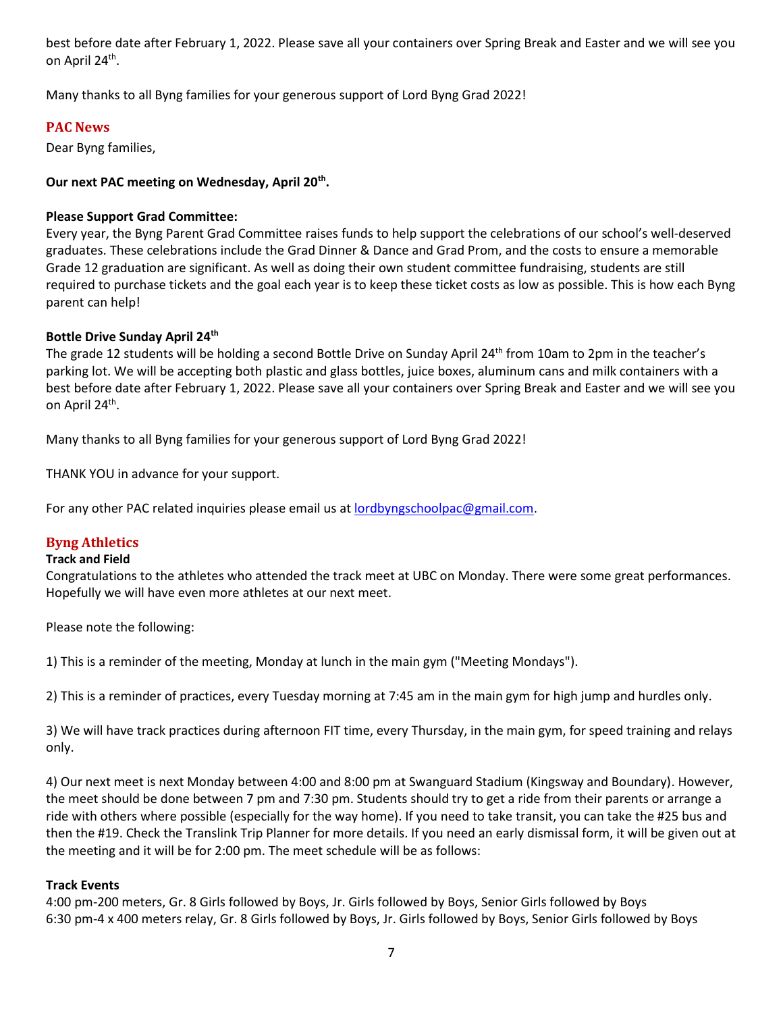best before date after February 1, 2022. Please save all your containers over Spring Break and Easter and we will see you on April 24<sup>th</sup>.

<span id="page-6-0"></span>Many thanks to all Byng families for your generous support of Lord Byng Grad 2022!

## **PAC News**

Dear Byng families,

## **Our next PAC meeting on Wednesday, April 20th .**

## **Please Support Grad Committee:**

Every year, the Byng Parent Grad Committee raises funds to help support the celebrations of our school's well-deserved graduates. These celebrations include the Grad Dinner & Dance and Grad Prom, and the costs to ensure a memorable Grade 12 graduation are significant. As well as doing their own student committee fundraising, students are still required to purchase tickets and the goal each year is to keep these ticket costs as low as possible. This is how each Byng parent can help!

## **Bottle Drive Sunday April 24th**

The grade 12 students will be holding a second Bottle Drive on Sunday April 24<sup>th</sup> from 10am to 2pm in the teacher's parking lot. We will be accepting both plastic and glass bottles, juice boxes, aluminum cans and milk containers with a best before date after February 1, 2022. Please save all your containers over Spring Break and Easter and we will see you on April 24<sup>th</sup>.

Many thanks to all Byng families for your generous support of Lord Byng Grad 2022!

THANK YOU in advance for your support.

For any other PAC related inquiries please email us at [lordbyngschoolpac@gmail.com.](mailto:lordbyngschoolpac@gmail.com)

## <span id="page-6-1"></span>**Byng Athletics**

#### **Track and Field**

Congratulations to the athletes who attended the track meet at UBC on Monday. There were some great performances. Hopefully we will have even more athletes at our next meet.

Please note the following:

1) This is a reminder of the meeting, Monday at lunch in the main gym ("Meeting Mondays").

2) This is a reminder of practices, every Tuesday morning at 7:45 am in the main gym for high jump and hurdles only.

3) We will have track practices during afternoon FIT time, every Thursday, in the main gym, for speed training and relays only.

4) Our next meet is next Monday between 4:00 and 8:00 pm at Swanguard Stadium (Kingsway and Boundary). However, the meet should be done between 7 pm and 7:30 pm. Students should try to get a ride from their parents or arrange a ride with others where possible (especially for the way home). If you need to take transit, you can take the #25 bus and then the #19. Check the Translink Trip Planner for more details. If you need an early dismissal form, it will be given out at the meeting and it will be for 2:00 pm. The meet schedule will be as follows:

## **Track Events**

4:00 pm-200 meters, Gr. 8 Girls followed by Boys, Jr. Girls followed by Boys, Senior Girls followed by Boys 6:30 pm-4 x 400 meters relay, Gr. 8 Girls followed by Boys, Jr. Girls followed by Boys, Senior Girls followed by Boys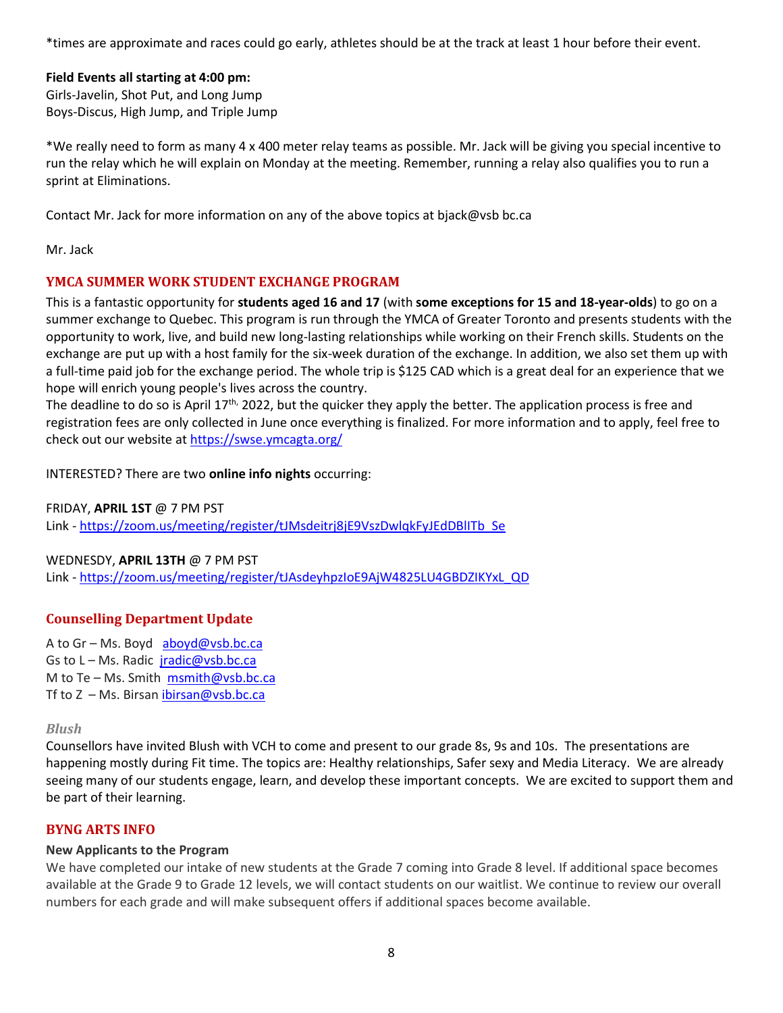\*times are approximate and races could go early, athletes should be at the track at least 1 hour before their event.

## **Field Events all starting at 4:00 pm:**

Girls-Javelin, Shot Put, and Long Jump Boys-Discus, High Jump, and Triple Jump

\*We really need to form as many 4 x 400 meter relay teams as possible. Mr. Jack will be giving you special incentive to run the relay which he will explain on Monday at the meeting. Remember, running a relay also qualifies you to run a sprint at Eliminations.

Contact Mr. Jack for more information on any of the above topics at bjack@vsb bc.ca

<span id="page-7-0"></span>Mr. Jack

# **YMCA SUMMER WORK STUDENT EXCHANGE PROGRAM**

This is a fantastic opportunity for **students aged 16 and 17** (with **some exceptions for 15 and 18-year-olds**) to go on a summer exchange to Quebec. This program is run through the YMCA of Greater Toronto and presents students with the opportunity to work, live, and build new long-lasting relationships while working on their French skills. Students on the exchange are put up with a host family for the six-week duration of the exchange. In addition, we also set them up with a full-time paid job for the exchange period. The whole trip is \$125 CAD which is a great deal for an experience that we hope will enrich young people's lives across the country.

The deadline to do so is April  $17<sup>th</sup>$ , 2022, but the quicker they apply the better. The application process is free and registration fees are only collected in June once everything is finalized. For more information and to apply, feel free to check out our website at <https://swse.ymcagta.org/>

INTERESTED? There are two **online info nights** occurring:

FRIDAY, **APRIL 1ST** @ 7 PM PST Link - [https://zoom.us/meeting/register/tJMsdeitrj8jE9VszDwlqkFyJEdDBlITb\\_Se](https://zoom.us/meeting/register/tJMsdeitrj8jE9VszDwlqkFyJEdDBlITb_Se)

## WEDNESDY, **APRIL 13TH** @ 7 PM PST

Link - [https://zoom.us/meeting/register/tJAsdeyhpzIoE9AjW4825LU4GBDZIKYxL\\_QD](https://zoom.us/meeting/register/tJAsdeyhpzIoE9AjW4825LU4GBDZIKYxL_QD)

## <span id="page-7-1"></span>**Counselling Department Update**

A to Gr – Ms. Boyd [aboyd@vsb.bc.ca](mailto:aboyd@vsb.bc.ca) Gs to L - Ms. Radic [jradic@vsb.bc.ca](mailto:jradic@vsb.bc.ca) M to Te – Ms. Smith  $msmith@vsb,bc.ca$ Tf to  $Z$  – Ms. Birsan ibirsan@vsb.bc.ca

## <span id="page-7-2"></span>*Blush*

Counsellors have invited Blush with VCH to come and present to our grade 8s, 9s and 10s. The presentations are happening mostly during Fit time. The topics are: Healthy relationships, Safer sexy and Media Literacy. We are already seeing many of our students engage, learn, and develop these important concepts. We are excited to support them and be part of their learning.

## <span id="page-7-3"></span>**BYNG ARTS INFO**

## **New Applicants to the Program**

We have completed our intake of new students at the Grade 7 coming into Grade 8 level. If additional space becomes available at the Grade 9 to Grade 12 levels, we will contact students on our waitlist. We continue to review our overall numbers for each grade and will make subsequent offers if additional spaces become available.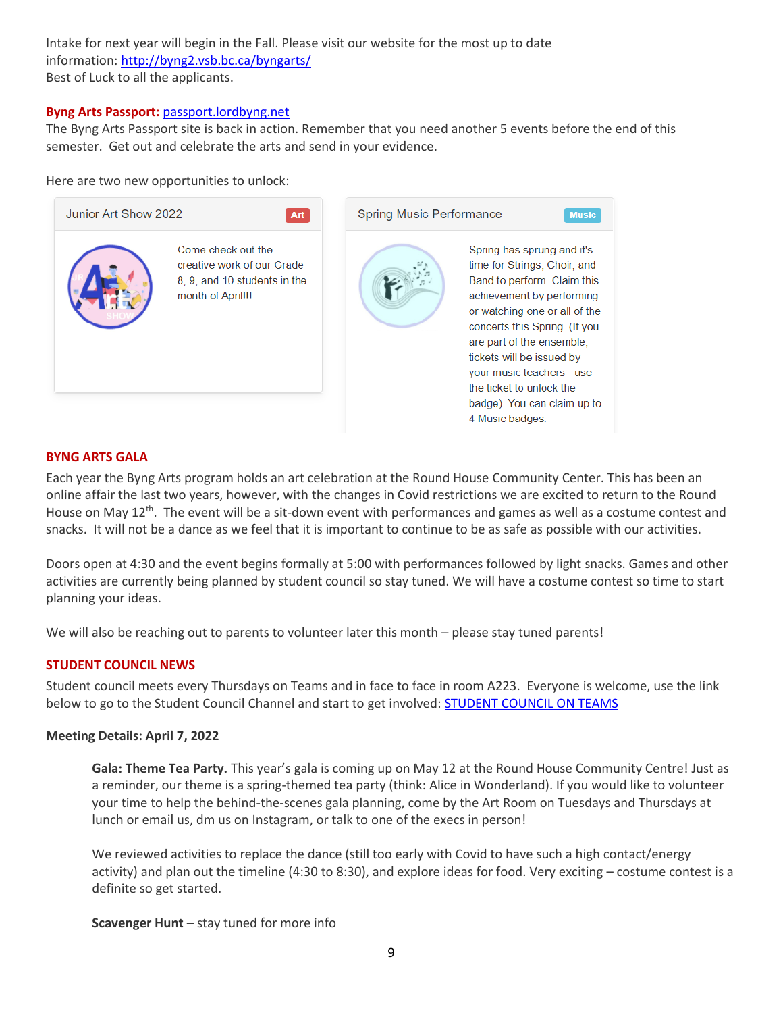Intake for next year will begin in the Fall. Please visit our website for the most up to date information: <http://byng2.vsb.bc.ca/byngarts/> Best of Luck to all the applicants.

#### **Byng Arts Passport:** [passport.lordbyng.net](http://passport.lordbyng.net/)

The Byng Arts Passport site is back in action. Remember that you need another 5 events before the end of this semester. Get out and celebrate the arts and send in your evidence.

#### Here are two new opportunities to unlock:



#### <span id="page-8-0"></span>**BYNG ARTS GALA**

Each year the Byng Arts program holds an art celebration at the Round House Community Center. This has been an online affair the last two years, however, with the changes in Covid restrictions we are excited to return to the Round House on May 12<sup>th</sup>. The event will be a sit-down event with performances and games as well as a costume contest and snacks. It will not be a dance as we feel that it is important to continue to be as safe as possible with our activities.

Doors open at 4:30 and the event begins formally at 5:00 with performances followed by light snacks. Games and other activities are currently being planned by student council so stay tuned. We will have a costume contest so time to start planning your ideas.

We will also be reaching out to parents to volunteer later this month – please stay tuned parents!

## <span id="page-8-1"></span>**STUDENT COUNCIL NEWS**

Student council meets every Thursdays on Teams and in face to face in room A223. Everyone is welcome, use the link below to go to the Student Council Channel and start to get involved: **[STUDENT](https://teams.microsoft.com/l/channel/19%3a23116d8f7c5446fd8b43fbca0cdece3a%40thread.tacv2/Student%2520Council%2520Channel?groupId=0f991a6a-610f-435e-92af-4cad2f2e7c25&tenantId=0b8a2e58-7b30-4a08-bab7-d75559e0e3a5) COUNCIL ON TEAMS** 

#### **Meeting Details: April 7, 2022**

**Gala: Theme Tea Party.** This year's gala is coming up on May 12 at the Round House Community Centre! Just as a reminder, our theme is a spring-themed tea party (think: Alice in Wonderland). If you would like to volunteer your time to help the behind-the-scenes gala planning, come by the Art Room on Tuesdays and Thursdays at lunch or email us, dm us on Instagram, or talk to one of the execs in person!

We reviewed activities to replace the dance (still too early with Covid to have such a high contact/energy activity) and plan out the timeline (4:30 to 8:30), and explore ideas for food. Very exciting – costume contest is a definite so get started.

**Scavenger Hunt** – stay tuned for more info